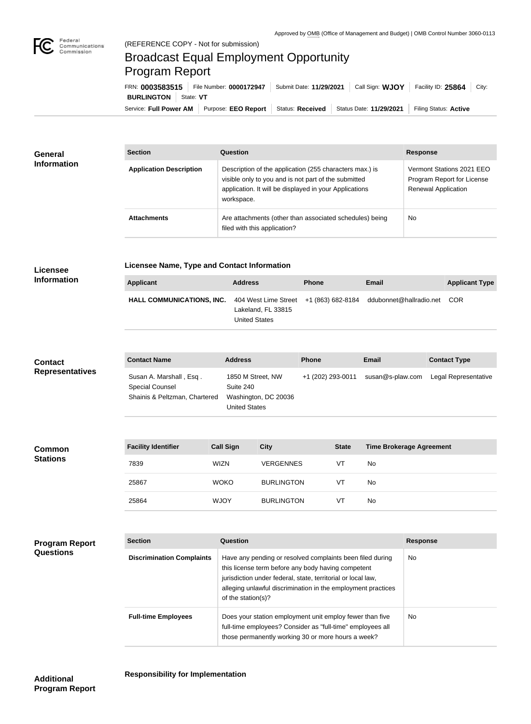

# Broadcast Equal Employment Opportunity Program Report

Service: Full Power AM | Purpose: EEO Report | Status: Received | Status Date: 11/29/2021 | Filing Status: Active **BURLINGTON** State: VT FRN: **0003583515** File Number: **0000172947** Submit Date: **11/29/2021** Call Sign: **WJOY** Facility ID: **25864** City:

| <b>General</b><br><b>Information</b> | <b>Section</b>                 | Question                                                                                                                                                                                | <b>Response</b>                                                                |
|--------------------------------------|--------------------------------|-----------------------------------------------------------------------------------------------------------------------------------------------------------------------------------------|--------------------------------------------------------------------------------|
|                                      | <b>Application Description</b> | Description of the application (255 characters max.) is<br>visible only to you and is not part of the submitted<br>application. It will be displayed in your Applications<br>workspace. | Vermont Stations 2021 EEO<br>Program Report for License<br>Renewal Application |
|                                      | <b>Attachments</b>             | Are attachments (other than associated schedules) being<br>filed with this application?                                                                                                 | <b>No</b>                                                                      |

### **Licensee**

#### **Licensee Name, Type and Contact Information**

**Information**

| Applicant                                                                                    | <b>Address</b>     | <b>Phone</b> | Email | <b>Applicant Type</b> |
|----------------------------------------------------------------------------------------------|--------------------|--------------|-------|-----------------------|
| HALL COMMUNICATIONS, INC. 404 West Lime Street +1 (863) 682-8184 ddubonnet@hallradio.net COR | Lakeland, FL 33815 |              |       |                       |

## United States

| <b>Contact</b>         | <b>Contact Name</b>                        | <b>Address</b>                               | <b>Phone</b>      | Email            | <b>Contact Type</b>  |
|------------------------|--------------------------------------------|----------------------------------------------|-------------------|------------------|----------------------|
| <b>Representatives</b> | Susan A. Marshall, Esq.<br>Special Counsel | 1850 M Street, NW<br>Suite 240               | +1 (202) 293-0011 | susan@s-plaw.com | Legal Representative |
|                        | Shainis & Peltzman, Chartered              | Washington, DC 20036<br><b>United States</b> |                   |                  |                      |

| <b>Common</b><br><b>Stations</b> | <b>Facility Identifier</b> | <b>Call Sign</b> | <b>City</b>       | <b>State</b> | <b>Time Brokerage Agreement</b> |
|----------------------------------|----------------------------|------------------|-------------------|--------------|---------------------------------|
|                                  | 7839                       | <b>WIZN</b>      | <b>VERGENNES</b>  | VT           | No                              |
|                                  | 25867                      | <b>WOKO</b>      | <b>BURLINGTON</b> | VT           | No                              |
|                                  | 25864                      | <b>WJOY</b>      | <b>BURLINGTON</b> | VT           | No                              |

| <b>Program Report</b><br><b>Questions</b> | <b>Section</b>                   | Question                                                                                                                                                                                                                                                              | <b>Response</b> |
|-------------------------------------------|----------------------------------|-----------------------------------------------------------------------------------------------------------------------------------------------------------------------------------------------------------------------------------------------------------------------|-----------------|
|                                           | <b>Discrimination Complaints</b> | Have any pending or resolved complaints been filed during<br>this license term before any body having competent<br>jurisdiction under federal, state, territorial or local law,<br>alleging unlawful discrimination in the employment practices<br>of the station(s)? | No.             |
|                                           | <b>Full-time Employees</b>       | Does your station employment unit employ fewer than five<br>full-time employees? Consider as "full-time" employees all<br>those permanently working 30 or more hours a week?                                                                                          | <b>No</b>       |